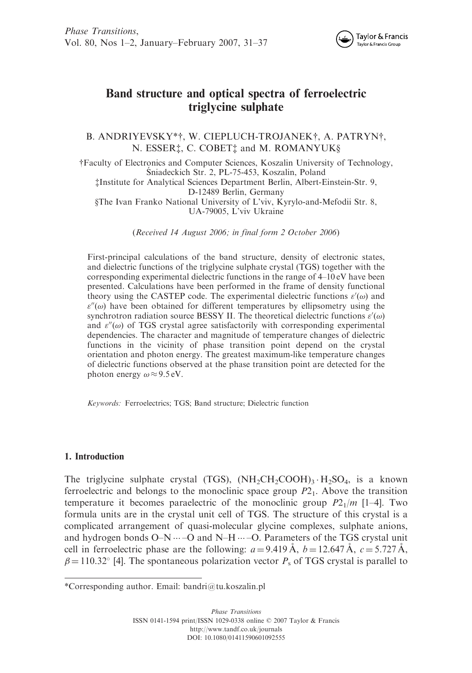

# Band structure and optical spectra of ferroelectric triglycine sulphate

B. ANDRIYEVSKY\*†, W. CIEPLUCH-TROJANEK†, A. PATRYN†, N. ESSER<sup>†</sup>, C. COBET<sup>†</sup> and M. ROMANYUK§

yFaculty of Electronics and Computer Sciences, Koszalin University of Technology, Sniadeckich Str. 2, PL-75-453, Koszalin, Poland zInstitute for Analytical Sciences Department Berlin, Albert-Einstein-Str. 9, D-12489 Berlin, Germany xThe Ivan Franko National University of L'viv, Kyrylo-and-Mefodii Str. 8, UA-79005, L'viv Ukraine

(Received 14 August 2006; in final form 2 October 2006)

First-principal calculations of the band structure, density of electronic states, and dielectric functions of the triglycine sulphate crystal (TGS) together with the corresponding experimental dielectric functions in the range of 4–10 eV have been presented. Calculations have been performed in the frame of density functional theory using the CASTEP code. The experimental dielectric functions  $\varepsilon'(\omega)$  and  $\varepsilon''(\omega)$  have been obtained for different temperatures by ellipsometry using the synchrotron radiation source BESSY II. The theoretical dielectric functions  $\varepsilon'(\omega)$ and  $\varepsilon''(\omega)$  of TGS crystal agree satisfactorily with corresponding experimental dependencies. The character and magnitude of temperature changes of dielectric functions in the vicinity of phase transition point depend on the crystal orientation and photon energy. The greatest maximum-like temperature changes of dielectric functions observed at the phase transition point are detected for the photon energy  $\omega \approx 9.5 \text{ eV}$ .

Keywords: Ferroelectrics; TGS; Band structure; Dielectric function

## 1. Introduction

The triglycine sulphate crystal (TGS),  $(NH_2CH_2COOH)_3 \cdot H_2SO_4$ , is a known ferroelectric and belongs to the monoclinic space group  $P_1$ . Above the transition temperature it becomes paraelectric of the monoclinic group  $P2_1/m$  [1–4]. Two formula units are in the crystal unit cell of TGS. The structure of this crystal is a complicated arrangement of quasi-molecular glycine complexes, sulphate anions, and hydrogen bonds  $O-N \cdots -O$  and  $N-H \cdots -O$ . Parameters of the TGS crystal unit cell in ferroelectric phase are the following:  $a = 9.419 \text{ Å}$ ,  $b = 12.647 \text{ Å}$ ,  $c = 5.727 \text{ Å}$ ,  $\beta = 110.32^{\circ}$  [4]. The spontaneous polarization vector  $P_s$  of TGS crystal is parallel to

<sup>\*</sup>Corresponding author. Email: bandri@tu.koszalin.pl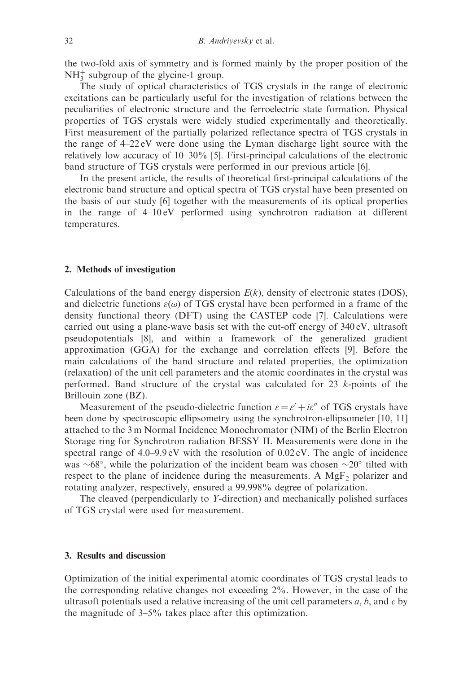the two-fold axis of symmetry and is formed mainly by the proper position of the  $NH<sub>3</sub><sup>+</sup>$  subgroup of the glycine-1 group.

The study of optical characteristics of TGS crystals in the range of electronic excitations can be particularly useful for the investigation of relations between the peculiarities of electronic structure and the ferroelectric state formation. Physical properties of TGS crystals were widely studied experimentally and theoretically. First measurement of the partially polarized reflectance spectra of TGS crystals in the range of 4–22 eV were done using the Lyman discharge light source with the relatively low accuracy of 10–30% [5]. First-principal calculations of the electronic band structure of TGS crystals were performed in our previous article [6].

In the present article, the results of theoretical first-principal calculations of the electronic band structure and optical spectra of TGS crystal have been presented on the basis of our study [6] together with the measurements of its optical properties in the range of  $4-10 \text{ eV}$  performed using synchrotron radiation at different temperatures.

#### 2. Methods of investigation

Calculations of the band energy dispersion  $E(k)$ , density of electronic states (DOS), and dielectric functions  $\varepsilon(\omega)$  of TGS crystal have been performed in a frame of the density functional theory (DFT) using the CASTEP code [7]. Calculations were carried out using a plane-wave basis set with the cut-off energy of 340 eV, ultrasoft pseudopotentials [8], and within a framework of the generalized gradient approximation (GGA) for the exchange and correlation effects [9]. Before the main calculations of the band structure and related properties, the optimization (relaxation) of the unit cell parameters and the atomic coordinates in the crystal was performed. Band structure of the crystal was calculated for 23 k-points of the Brillouin zone (BZ).

Measurement of the pseudo-dielectric function  $\varepsilon = \varepsilon' + i\varepsilon''$  of TGS crystals have been done by spectroscopic ellipsometry using the synchrotron-ellipsometer [10, 11] attached to the 3 m Normal Incidence Monochromator (NIM) of the Berlin Electron Storage ring for Synchrotron radiation BESSY II. Measurements were done in the spectral range of  $4.0-9.9 \text{ eV}$  with the resolution of  $0.02 \text{ eV}$ . The angle of incidence was  $\sim 68^{\circ}$ , while the polarization of the incident beam was chosen  $\sim 20^{\circ}$  tilted with respect to the plane of incidence during the measurements. A  $MgF<sub>2</sub>$  polarizer and rotating analyzer, respectively, ensured a 99.998% degree of polarization.

The cleaved (perpendicularly to Y-direction) and mechanically polished surfaces of TGS crystal were used for measurement.

### 3. Results and discussion

Optimization of the initial experimental atomic coordinates of TGS crystal leads to the corresponding relative changes not exceeding 2%. However, in the case of the ultrasoft potentials used a relative increasing of the unit cell parameters  $a, b$ , and  $c$  by the magnitude of 3–5% takes place after this optimization.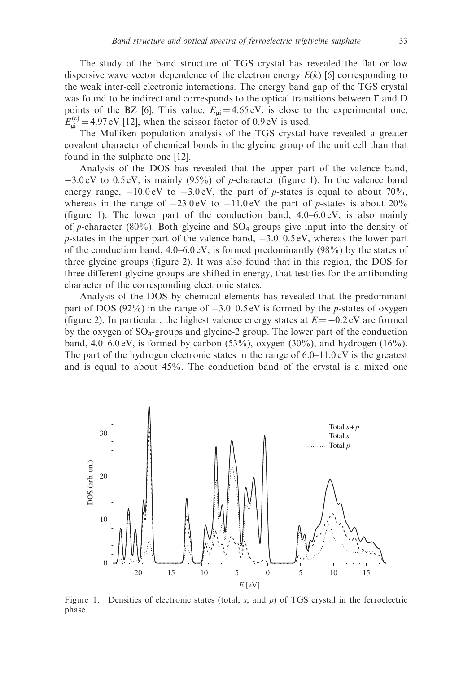The study of the band structure of TGS crystal has revealed the flat or low dispersive wave vector dependence of the electron energy  $E(k)$  [6] corresponding to the weak inter-cell electronic interactions. The energy band gap of the TGS crystal was found to be indirect and corresponds to the optical transitions between  $\Gamma$  and  $D$ points of the BZ [6]. This value,  $E_{gi} = 4.65 \text{ eV}$ , is close to the experimental one,  $E_{gi}^{(e)} = 4.97 \text{ eV}$  [12], when the scissor factor of 0.9 eV is used.

The Mulliken population analysis of the TGS crystal have revealed a greater covalent character of chemical bonds in the glycine group of the unit cell than that found in the sulphate one [12].

Analysis of the DOS has revealed that the upper part of the valence band,  $-3.0 \text{ eV}$  to 0.5 eV, is mainly (95%) of p-character (figure 1). In the valence band energy range,  $-10.0 \text{ eV}$  to  $-3.0 \text{ eV}$ , the part of p-states is equal to about 70%, whereas in the range of  $-23.0 \text{ eV}$  to  $-11.0 \text{ eV}$  the part of p-states is about 20% (figure 1). The lower part of the conduction band,  $4.0-6.0 \text{ eV}$ , is also mainly of p-character (80%). Both glycine and  $SO_4$  groups give input into the density of  $p$ -states in the upper part of the valence band,  $-3.0-0.5 \text{ eV}$ , whereas the lower part of the conduction band,  $4.0-6.0 \text{ eV}$ , is formed predominantly (98%) by the states of three glycine groups (figure 2). It was also found that in this region, the DOS for three different glycine groups are shifted in energy, that testifies for the antibonding character of the corresponding electronic states.

Analysis of the DOS by chemical elements has revealed that the predominant part of DOS (92%) in the range of  $-3.0-0.5$  eV is formed by the p-states of oxygen (figure 2). In particular, the highest valence energy states at  $E = -0.2$  eV are formed by the oxygen of SO4-groups and glycine-2 group. The lower part of the conduction band,  $4.0-6.0 \text{ eV}$ , is formed by carbon  $(53\%)$ , oxygen  $(30\%)$ , and hydrogen  $(16\%)$ . The part of the hydrogen electronic states in the range of  $6.0-11.0 \text{ eV}$  is the greatest and is equal to about 45%. The conduction band of the crystal is a mixed one



Figure 1. Densities of electronic states (total,  $s$ , and  $p$ ) of TGS crystal in the ferroelectric phase.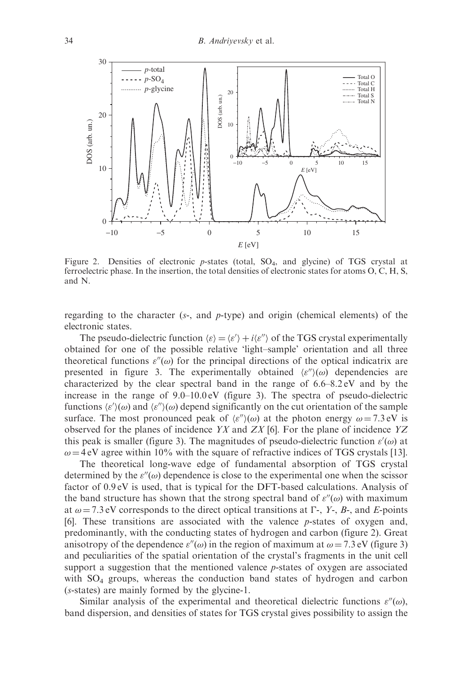

Figure 2. Densities of electronic  $p$ -states (total,  $SO_4$ , and glycine) of TGS crystal at ferroelectric phase. In the insertion, the total densities of electronic states for atoms O, C, H, S, and N.

regarding to the character  $(s<sub>z</sub>$ , and  $p$ -type) and origin (chemical elements) of the electronic states.

The pseudo-dielectric function  $\langle \varepsilon \rangle = \langle \varepsilon' \rangle + i \langle \varepsilon'' \rangle$  of the TGS crystal experimentally obtained for one of the possible relative 'light–sample' orientation and all three theoretical functions  $\varepsilon''(\omega)$  for the principal directions of the optical indicatrix are presented in figure 3. The experimentally obtained  $\langle \varepsilon'' \rangle$  ( $\omega$ ) dependencies are characterized by the clear spectral band in the range of 6.6–8.2 eV and by the increase in the range of  $9.0-10.0 \text{ eV}$  (figure 3). The spectra of pseudo-dielectric functions  $\langle \varepsilon' \rangle(\omega)$  and  $\langle \varepsilon'' \rangle(\omega)$  depend significantly on the cut orientation of the sample surface. The most pronounced peak of  $\langle \varepsilon'' \rangle(\omega)$  at the photon energy  $\omega = 7.3 \text{ eV}$  is observed for the planes of incidence  $YX$  and  $ZX$  [6]. For the plane of incidence  $YZ$ this peak is smaller (figure 3). The magnitudes of pseudo-dielectric function  $\varepsilon'(\omega)$  at  $\omega = 4$  eV agree within 10% with the square of refractive indices of TGS crystals [13].

The theoretical long-wave edge of fundamental absorption of TGS crystal determined by the  $\varepsilon''(\omega)$  dependence is close to the experimental one when the scissor factor of 0.9 eV is used, that is typical for the DFT-based calculations. Analysis of the band structure has shown that the strong spectral band of  $\varepsilon''(\omega)$  with maximum at  $\omega = 7.3$  eV corresponds to the direct optical transitions at  $\Gamma$ -, Y-, B-, and E-points [6]. These transitions are associated with the valence p-states of oxygen and, predominantly, with the conducting states of hydrogen and carbon (figure 2). Great anisotropy of the dependence  $\varepsilon''(\omega)$  in the region of maximum at  $\omega = 7.3 \text{ eV}$  (figure 3) and peculiarities of the spatial orientation of the crystal's fragments in the unit cell support a suggestion that the mentioned valence  $p$ -states of oxygen are associated with  $SO<sub>4</sub>$  groups, whereas the conduction band states of hydrogen and carbon (s-states) are mainly formed by the glycine-1.

Similar analysis of the experimental and theoretical dielectric functions  $\varepsilon''(\omega)$ , band dispersion, and densities of states for TGS crystal gives possibility to assign the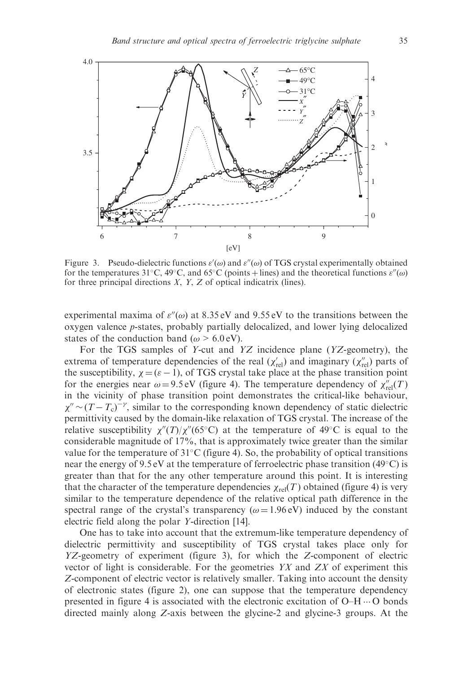

Figure 3. Pseudo-dielectric functions  $\varepsilon'(\omega)$  and  $\varepsilon''(\omega)$  of TGS crystal experimentally obtained for the temperatures 31°C, 49°C, and 65°C (points + lines) and the theoretical functions  $\varepsilon''(\omega)$ for three principal directions  $X$ ,  $Y$ ,  $Z$  of optical indicatrix (lines).

experimental maxima of  $\varepsilon''(\omega)$  at 8.35 eV and 9.55 eV to the transitions between the oxygen valence p-states, probably partially delocalized, and lower lying delocalized states of the conduction band ( $\omega > 6.0 \text{ eV}$ ).

For the TGS samples of Y-cut and YZ incidence plane (YZ-geometry), the extrema of temperature dependencies of the real  $(\chi_{rel}')$  and imaginary  $(\chi_{rel}'')$  parts of the susceptibility,  $\chi = (\varepsilon - 1)$ , of TGS crystal take place at the phase transition point for the energies near  $\omega = 9.5 \text{ eV}$  (figure 4). The temperature dependency of  $\chi''_{rel}(T)$ in the vicinity of phase transition point demonstrates the critical-like behaviour,  $\chi'' \sim (T - T_c)^{-\gamma}$ , similar to the corresponding known dependency of static dielectric permittivity caused by the domain-like relaxation of TGS crystal. The increase of the relative susceptibility  $\chi''(T)/\chi''(65^{\circ}\text{C})$  at the temperature of 49<sup>o</sup>C is equal to the considerable magnitude of 17%, that is approximately twice greater than the similar value for the temperature of  $31^{\circ}$ C (figure 4). So, the probability of optical transitions near the energy of 9.5 eV at the temperature of ferroelectric phase transition (49 $^{\circ}$ C) is greater than that for the any other temperature around this point. It is interesting that the character of the temperature dependencies  $\chi_{rel}(T)$  obtained (figure 4) is very similar to the temperature dependence of the relative optical path difference in the spectral range of the crystal's transparency ( $\omega = 1.96 \text{ eV}$ ) induced by the constant electric field along the polar Y-direction [14].

One has to take into account that the extremum-like temperature dependency of dielectric permittivity and susceptibility of TGS crystal takes place only for YZ-geometry of experiment (figure 3), for which the Z-component of electric vector of light is considerable. For the geometries  $YX$  and  $ZX$  of experiment this Z-component of electric vector is relatively smaller. Taking into account the density of electronic states (figure 2), one can suppose that the temperature dependency presented in figure 4 is associated with the electronic excitation of  $O-H \cdots O$  bonds directed mainly along Z-axis between the glycine-2 and glycine-3 groups. At the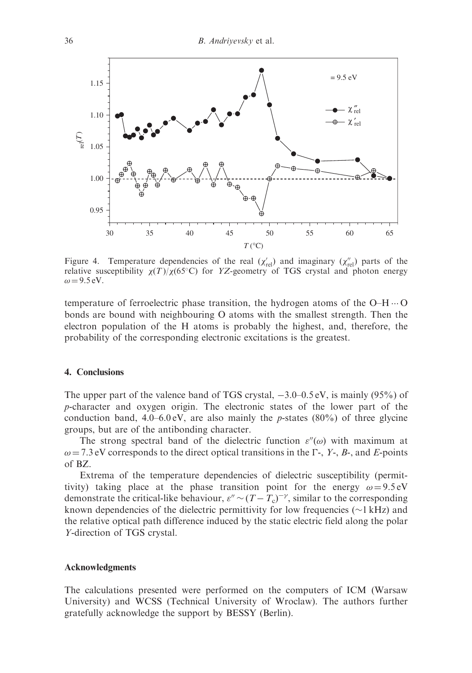

Figure 4. Temperature dependencies of the real  $(\chi_{rel}^{\prime})$  and imaginary  $(\chi_{rel}^{\prime\prime})$  parts of the relative susceptibility  $\chi(T)/\chi(65^{\circ}\text{C})$  for YZ-geometry of TGS crystal and photon energy  $\omega = 9.5 \text{ eV}$ .

temperature of ferroelectric phase transition, the hydrogen atoms of the  $O-H \cdots O$ bonds are bound with neighbouring O atoms with the smallest strength. Then the electron population of the H atoms is probably the highest, and, therefore, the probability of the corresponding electronic excitations is the greatest.

### 4. Conclusions

The upper part of the valence band of TGS crystal,  $-3.0-0.5$  eV, is mainly (95%) of p-character and oxygen origin. The electronic states of the lower part of the conduction band,  $4.0-6.0 \text{ eV}$ , are also mainly the p-states (80%) of three glycine groups, but are of the antibonding character.

The strong spectral band of the dielectric function  $\varepsilon''(\omega)$  with maximum at  $\omega = 7.3$  eV corresponds to the direct optical transitions in the  $\Gamma$ -, Y-, B-, and E-points of BZ.

Extrema of the temperature dependencies of dielectric susceptibility (permittivity) taking place at the phase transition point for the energy  $\omega = 9.5 \text{ eV}$ demonstrate the critical-like behaviour,  $\varepsilon'' \sim (T - T_c)^{-\gamma}$ , similar to the corresponding known dependencies of the dielectric permittivity for low frequencies ( $\sim$ 1 kHz) and the relative optical path difference induced by the static electric field along the polar Y-direction of TGS crystal.

#### Acknowledgments

The calculations presented were performed on the computers of ICM (Warsaw University) and WCSS (Technical University of Wroclaw). The authors further gratefully acknowledge the support by BESSY (Berlin).